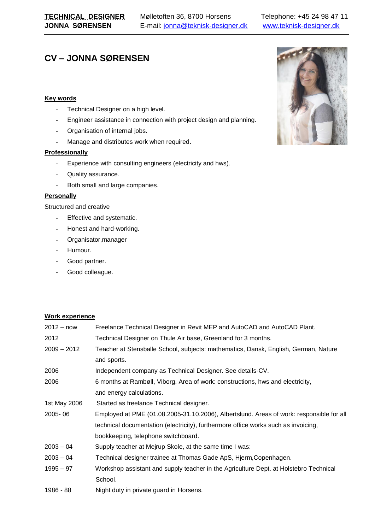# **CV – JONNA SØRENSEN**

## **Key words**

- Technical Designer on a high level.
- Engineer assistance in connection with project design and planning.
- Organisation of internal jobs.
- Manage and distributes work when required.

### **Professionally**

- Experience with consulting engineers (electricity and hws).
- Quality assurance.
- Both small and large companies.

### **Personally**

Structured and creative

- Effective and systematic.
- Honest and hard-working.
- Organisator,manager
- Humour.
- Good partner.
- Good colleague.

## **Work experience**

| $2012 - now$  | Freelance Technical Designer in Revit MEP and AutoCAD and AutoCAD Plant.                 |
|---------------|------------------------------------------------------------------------------------------|
| 2012          | Technical Designer on Thule Air base, Greenland for 3 months.                            |
| $2009 - 2012$ | Teacher at Stensballe School, subjects: mathematics, Dansk, English, German, Nature      |
|               | and sports.                                                                              |
| 2006          | Independent company as Technical Designer. See details-CV.                               |
| 2006          | 6 months at Rambøll, Viborg. Area of work: constructions, hws and electricity,           |
|               | and energy calculations.                                                                 |
| 1st May 2006  | Started as freelance Technical designer.                                                 |
| 2005-06       | Employed at PME (01.08.2005-31.10.2006), Albertslund. Areas of work: responsible for all |
|               | technical documentation (electricity), furthermore office works such as invoicing,       |
|               | bookkeeping, telephone switchboard.                                                      |
| $2003 - 04$   | Supply teacher at Mejrup Skole, at the same time I was:                                  |
| $2003 - 04$   | Technical designer trainee at Thomas Gade ApS, Hjerm, Copenhagen.                        |
| $1995 - 97$   | Workshop assistant and supply teacher in the Agriculture Dept. at Holstebro Technical    |
|               | School.                                                                                  |
| 1986 - 88     | Night duty in private guard in Horsens.                                                  |